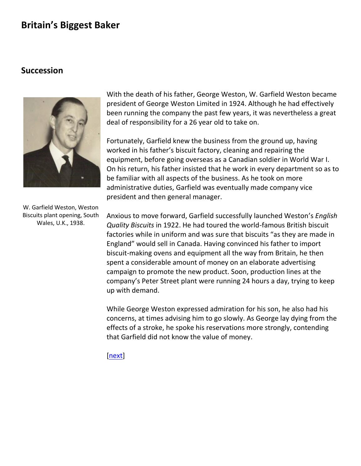#### **Succession**



With the death of his father, George Weston, W. Garfield Weston became president of George Weston Limited in 1924. Although he had effectively been running the company the past few years, it was nevertheless a great deal of responsibility for a 26 year old to take on.

Fortunately, Garfield knew the business from the ground up, having worked in his father's biscuit factory, cleaning and repairing the equipment, before going overseas as a [Canadian soldier](GWL%20history/biggestbaker1a.html) in World War I. On his return, his father insisted that he work in every department so as to be familiar with all aspects of the business. As he took on more administrative duties, Garfield was eventually made company vice president and then general manager.

Anxious to move forward, Garfield successfully launched Weston's *English Quality Biscuits* in 1922. He had toured the world-famous British biscuit factories while in uniform and was sure that biscuits "as they are made in England" would sell in Canada. Having convinced his father to import biscuit-making ovens and equipment all the way from Britain, he then spent a considerable amount of money on an elaborate advertising campaign to promote the new product. Soon, production lines at the company's [Peter Street](GWL%20history/biggestbaker1b.html) plant were running 24 hours a day, trying to keep up with demand.

While George Weston expressed admiration for his son, he also had his concerns, at times advising him to go slowly. As George lay dying from the effects of a stroke, he spoke his reservations more strongly, contending that Garfield did not know the value of money.

[\[next\]](#page-1-0)

W. Garfield Weston, Weston Biscuits plant opening, South Wales, U.K., 1938.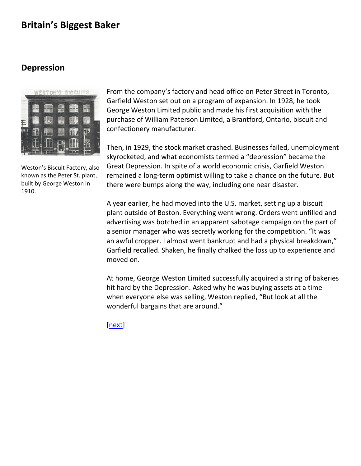### <span id="page-1-0"></span>**Depression**



Weston's Biscuit Factory, also known as the Peter St. plant, built by George Weston in 1910.

From the company's factory and head office on Peter Street in Toronto, Garfield Weston set out on a program of expansion. In 1928, he took George Weston Limited public and made his first acquisition with the purchase of William Paterson Limited, a Brantford, Ontario, biscuit and confectionery manufacturer.

Then, in 1929, the stock market crashed. Businesses failed, unemployment skyrocketed, and what economists termed a "depression" became the Great Depression. In spite of a world economic crisis, Garfield Weston remained a long-term optimist willing to take a chance on the future. But there were bumps along the way, including one near disaster.

A year earlier, he had moved into the U.S. market, setting up a biscuit plant outside of Boston. Everything went wrong. Orders went unfilled and advertising was botched in an apparent sabotage campaign on the part of a senior manager who was secretly working for the competition. "It was an awful cropper. I almost went bankrupt and had a physical breakdown," Garfield recalled. Shaken, he finally chalked the loss up to experience and moved on.

At home, George Weston Limited successfully acquired a string of bakeries hit hard by the Depression. Asked why he was buying assets at a time when everyone else was selling, Weston replied, "But look at all the wonderful bargains that are around."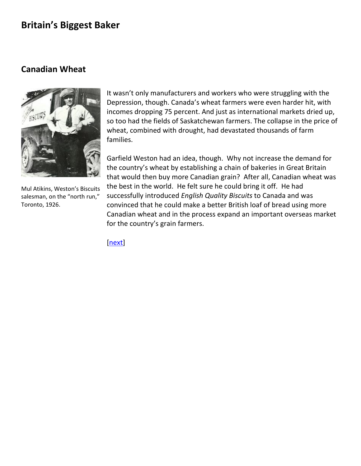### <span id="page-2-0"></span>**Canadian Wheat**



Mul Atikins, Weston's Biscuits salesman, on the "north run," Toronto, 1926.

It wasn't only manufacturers and workers who were struggling with the Depression, though. Canada's wheat farmers were even harder hit, with incomes dropping 75 percent. And just as international markets dried up, so too had the fields of Saskatchewan farmers. The collapse in the price of wheat, combined with drought, had devastated thousands of farm families.

Garfield Weston had an idea, though. Why not increase the demand for the country's wheat by establishing a chain of bakeries in Great Britain that would then buy more Canadian grain? After all, Canadian wheat was the best in the world. He felt sure he could bring it off. He had successfully introduced *English Quality Biscuits* to Canada and was convinced that he could make a better British loaf of bread using more Canadian wheat and in the process expand an important overseas market for the country's grain farmers.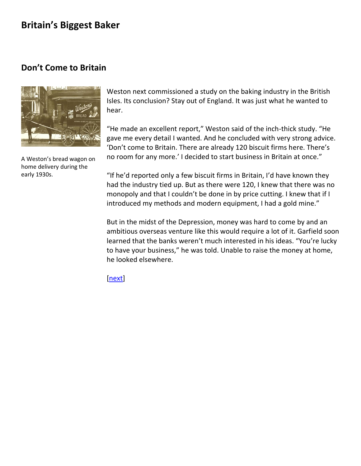## <span id="page-3-0"></span>**Don't Come to Britain**



A Weston's bread wagon on home delivery during the early 1930s.

Weston next commissioned a study on the baking industry in the British Isles. Its conclusion? Stay out of England. It was just what he wanted to hear.

"He made an excellent report," Weston said of the inch-thick study. "He gave me every detail I wanted. And he concluded with very strong advice. 'Don't come to Britain. There are already 120 biscuit firms here. There's no room for any more.' I decided to start business in Britain at once."

"If he'd reported only a few biscuit firms in Britain, I'd have known they had the industry tied up. But as there were 120, I knew that there was no monopoly and that I couldn't be done in by price cutting. I knew that if I introduced my methods and modern equipment, I had a gold mine."

But in the midst of the Depression, money was hard to come by and an ambitious overseas venture like this would require a lot of it. Garfield soon learned that the banks weren't much interested in his ideas. "You're lucky to have your business," he was told. Unable to raise the money at home, he looked elsewhere.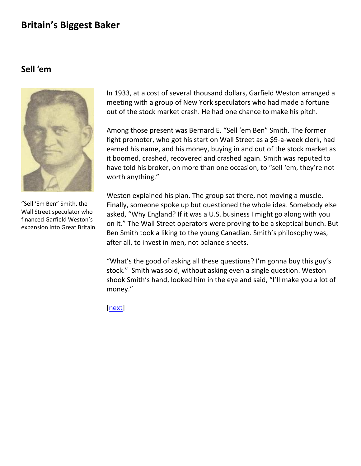### <span id="page-4-0"></span>**Sell 'em**



In 1933, at a cost of several thousand dollars, Garfield Weston arranged a meeting with a group of New York speculators who had made a fortune out of the stock market crash. He had one chance to make his pitch.

Among those present was Bernard E. "Sell 'em Ben" Smith. The former fight promoter, who got his start on Wall Street as a \$9-a-week clerk, had earned his name, and his money, buying in and out of the stock market as it boomed, crashed, recovered and crashed again. Smith was reputed to have told his broker, on more than one occasion, to "sell 'em, they're not worth anything."

Weston explained his plan. The group sat there, not moving a muscle. Finally, someone spoke up but questioned the whole idea. Somebody else asked, "Why England? If it was a U.S. business I might go along with you on it." The Wall Street operators were proving to be a skeptical bunch. But Ben Smith took a liking to the young Canadian. Smith's philosophy was, after all, to invest in men, not balance sheets.

"What's the good of asking all these questions? I'm gonna buy this guy's stock." Smith was sold, without asking even a single question. Weston shook Smith's hand, looked him in the eye and said, "I'll make you a lot of money."

[\[next\]](#page-5-0)

"Sell 'Em Ben" Smith, the Wall Street speculator who financed Garfield Weston's expansion into Great Britain.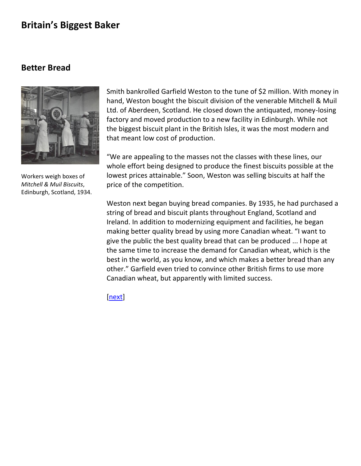### <span id="page-5-0"></span>**Better Bread**



Workers weigh boxes of *Mitchell & Muil Biscuits*, Edinburgh, Scotland, 1934.

Smith bankrolled Garfield Weston to the tune of \$2 million. With money in hand, Weston bought the biscuit division of the venerable Mitchell & Muil Ltd. of Aberdeen, Scotland. He closed down the antiquated, money-losing factory and moved production to a new facility in Edinburgh. While not the biggest biscuit plant in the British Isles, it was the most modern and that meant low cost of production.

"We are appealing to the masses not the classes with these lines, our whole effort being designed to produce the finest biscuits possible at the lowest prices attainable." Soon, Weston was selling biscuits at half the price of the competition.

Weston next began buying bread companies. By 1935, he had purchased a string of bread and biscuit plants throughout England, Scotland and Ireland. In addition to modernizing equipment and facilities, he began making better quality bread by using more Canadian wheat. "I want to give the public the best quality bread that can be produced ... I hope at the same time to increase the demand for Canadian wheat, which is the best in the world, as you know, and which makes a better bread than any other." Garfield even tried to convince other British firms to use more Canadian wheat, but apparently with limited success.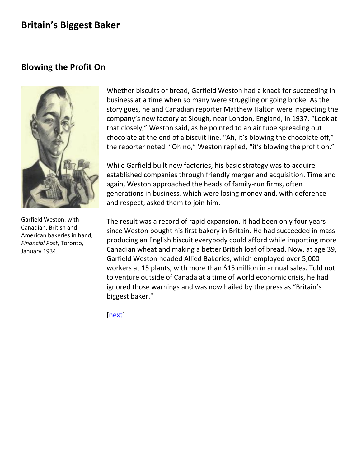## <span id="page-6-0"></span>**Blowing the Profit On**



Garfield Weston, with Canadian, British and American bakeries in hand, *Financial Post*, Toronto, January 1934*.*

Whether biscuits or bread, Garfield Weston had a knack for succeeding in business at a time when so many were struggling or going broke. As the story goes, he and Canadian reporter Matthew Halton were inspecting the company's new factory at Slough, near London, England, in 1937. "Look at that closely," Weston said, as he pointed to an air tube spreading out chocolate at the end of a biscuit line. "Ah, it's blowing the chocolate off," the reporter noted. "Oh no," Weston replied, "it's blowing the profit on."

While Garfield built new factories, his basic strategy was to acquire established companies through friendly merger and acquisition. Time and again, Weston approached the heads of family-run firms, often generations in business, which were losing money and, with deference and respect, asked them to join him.

The result was a record of rapid expansion. It had been only four years since Weston bought his first bakery in Britain. He had succeeded in massproducing an English biscuit everybody could afford while importing more Canadian wheat and making a better British loaf of bread. Now, at age 39, Garfield Weston headed Allied Bakeries, which employed over 5,000 workers at 15 plants, with more than \$15 million in annual sales. Told not to venture outside of Canada at a time of world economic crisis, he had ignored those warnings and was now hailed by the press as "Britain's biggest baker."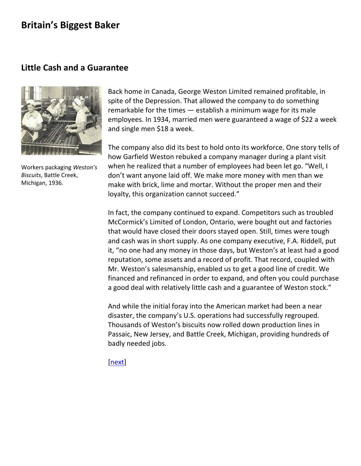### <span id="page-7-0"></span>**Little Cash and a Guarantee**



Workers packaging *Weston's Biscuits*, Battle Creek, Michigan, 1936.

Back home in Canada, George Weston Limited remained profitable, in spite of the Depression. That allowed the company to do something remarkable for the times — establish a minimum wage for its male employees. In 1934, married men were guaranteed a wage of \$22 a week and single men \$18 a week.

The company also did its best to hold onto its workforce. One story tells of how Garfield Weston rebuked a company manager during a plant visit when he realized that a number of employees had been let go. "Well, I don't want anyone laid off. We make more money with men than we make with brick, lime and mortar. Without the proper men and their loyalty, this organization cannot succeed."

In fact, the company continued to expand. Competitors such as troubled McCormick's Limited of London, Ontario, were bought out and factories that would have closed their doors stayed open. Still, times were tough and cash was in short supply. As one company executive, F.A. Riddell, put it, "no one had any money in those days, but Weston's at least had a good reputation, some assets and a record of profit. That record, coupled with Mr. Weston's salesmanship, enabled us to get a good line of credit. We financed and refinanced in order to expand, and often you could purchase a good deal with relatively little cash and a guarantee of Weston stock."

And while the initial foray into the American market had been a near disaster, the company's U.S. operations had successfully regrouped. Thousands of Weston's biscuits now rolled down production lines in Passaic, New Jersey, and Battle Creek, Michigan, providing hundreds of badly needed jobs.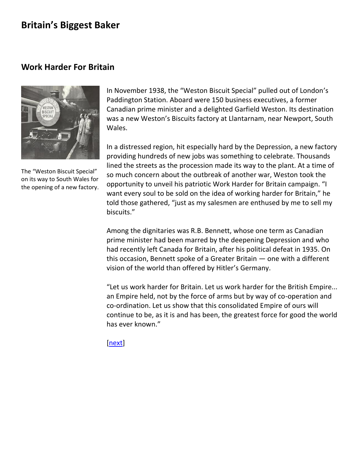### <span id="page-8-0"></span>**Work Harder For Britain**



The "Weston Biscuit Special" on its way to South Wales for the opening of a new factory.

In November 1938, the "Weston Biscuit Special" pulled out of London's Paddington Station. Aboard were 150 business executives, a former Canadian prime minister and a delighted Garfield Weston. Its destination was a new Weston's Biscuits factory at Llantarnam, near Newport, South Wales.

In a distressed region, hit especially hard by the Depression, a new factory providing hundreds of new jobs was something to celebrate. Thousands lined the streets as the procession made its way to the plant. At a time of so much concern about the outbreak of [another war,](file:///C:/-Users-gwlbxc-AppData-Local-Microsoft-Windows-Temporary%20Internet%20Files-Content.Outlook-6P7733RA-GWL%20history-biggestbaker9a.html) Weston took the opportunity to unveil his patriotic Work Harder for Britain campaign. "I want every soul to be sold on the idea of working harder for Britain," he told those gathered, "just as my salesmen are enthused by me to sell my biscuits."

Among the dignitaries was R.B. Bennett, whose one term as Canadian prime minister had been marred by the deepening Depression and who had recently left Canada for Britain, after his political defeat in 1935. On this occasion, Bennett spoke of a Greater Britain — one with a different vision of the world than offered by Hitler's Germany.

"Let us work harder for Britain. Let us work harder for the British Empire... an Empire held, not by the force of arms but by way of co-operation and co-ordination. Let us show that this consolidated Empire of ours will continue to be, as it is and has been, the greatest force for good the world has ever known."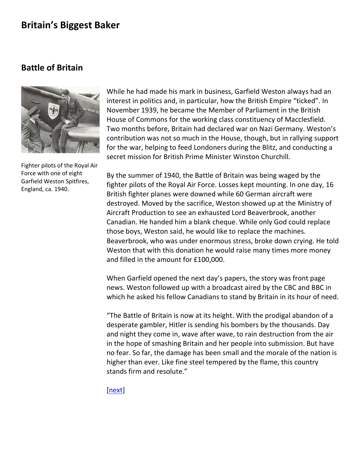### <span id="page-9-0"></span>**Battle of Britain**



Fighter pilots of the Royal Air Force with one of eight Garfield Weston Spitfires, England, ca. 1940.

While he had made his mark in business, Garfield Weston always had an interest in politics and, in particular, how the British Empire "ticked". In November 1939, he became the Member of Parliament in the British House of Commons for the working class constituency of Macclesfield. Two months before, Britain had declared war on Nazi Germany. Weston's contribution was not so much in the House, though, but in rallying support for the war, helping to feed Londoners during the Blitz, and conducting a secret mission for British Prime Minister Winston Churchill.

By the summer of 1940, the Battle of Britain was being waged by the fighter pilots of the Royal Air Force. Losses kept mounting. In one day, 16 British fighter planes were downed while 60 German aircraft were destroyed. Moved by the sacrifice, Weston showed up at the Ministry of Aircraft Production to see an exhausted Lord Beaverbrook, another Canadian. He handed him a blank cheque. While only God could replace those boys, Weston said, he would like to replace the machines. Beaverbrook, who was under enormous stress, broke down crying. He told Weston that with this donation he would raise many times more money and filled in the amount for £100,000.

When Garfield opened the next day's papers, the story was front page news. Weston followed up with a broadcast aired by the CBC and BBC in which he asked his fellow Canadians to stand by Britain in its hour of need.

"The Battle of Britain is now at its height. With the prodigal abandon of a desperate gambler, Hitler is sending his bombers by the thousands. Day and night they come in, wave after wave, to rain destruction from the air in the hope of smashing Britain and her people into submission. But have no fear. So far, the damage has been small and the morale of the nation is higher than ever. Like fine steel tempered by the flame, this country stands firm and resolute."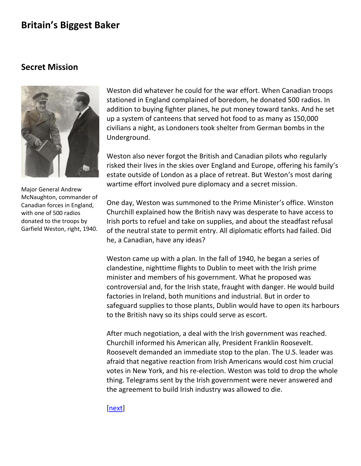### <span id="page-10-0"></span>**Secret Mission**



Major General Andrew McNaughton, commander of Canadian forces in England, with one of 500 radios donated to the troops by Garfield Weston, right, 1940.

Weston did whatever he could for the war effort. When Canadian troops stationed in England complained of boredom, he donated 500 radios. In addition to buying fighter planes, he put money toward [tanks.](file:///C:/-Users-gwlbxc-AppData-Local-Microsoft-Windows-Temporary%20Internet%20Files-Content.Outlook-6P7733RA-GWL%20history-tanks.html) And he set up a system of canteens that served hot food to as many as 150,000 civilians a night, as Londoners took shelter from German bombs in the Underground.

Weston also never forgot the British and Canadian pilots who regularly risked their lives in the skies over England and Europe, offering his family's estate outside of London as a place of retreat. But Weston's most daring wartime effort involved pure diplomacy and a secret mission.

One day, Weston was summoned to the Prime Minister's office. Winston Churchill explained how the British navy was desperate to have access to Irish ports to refuel and take on supplies, and about the steadfast refusal of the neutral state to permit entry. All diplomatic efforts had failed. Did he, a Canadian, have any ideas?

Weston came up with a plan. In the fall of 1940, he began a series of clandestine, nighttime flights to Dublin to meet with the Irish prime minister and members of his government. What he proposed was controversial and, for the Irish state, fraught with danger. He would build factories in Ireland, both munitions and industrial. But in order to safeguard supplies to those plants, Dublin would have to open its harbours to the British navy so its ships could serve as escort.

After much negotiation, a deal with the Irish government was reached. Churchill informed his American ally, President Franklin Roosevelt. Roosevelt demanded an immediate stop to the plan. The U.S. leader was afraid that negative reaction from Irish Americans would cost him crucial votes in New York, and his re-election. Weston was told to drop the whole thing. Telegrams sent by the Irish government were never answered and the agreement to build Irish industry was allowed to die.